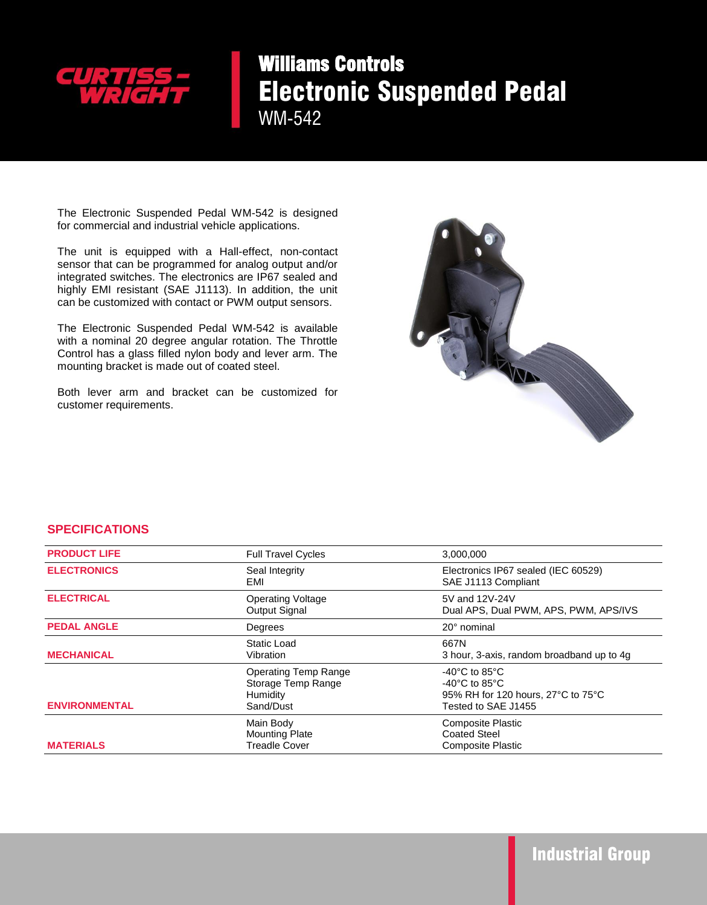

## Williams Controls Electronic Suspended Pedal

WM-542

The Electronic Suspended Pedal WM-542 is designed for commercial and industrial vehicle applications.

 The unit is equipped with a Hall-effect, non-contact sensor that can be programmed for analog output and/or integrated switches. The electronics are IP67 sealed and highly EMI resistant (SAE J1113). In addition, the unit can be customized with contact or PWM output sensors.

The Electronic Suspended Pedal WM-542 is available with a nominal 20 degree angular rotation. The Throttle Control has a glass filled nylon body and lever arm. The mounting bracket is made out of coated steel.

Both lever arm and bracket can be customized for customer requirements.



## **SPECIFICATIONS**

| <b>PRODUCT LIFE</b>  | <b>Full Travel Cycles</b>                                                  | 3,000,000                                                                                                                             |
|----------------------|----------------------------------------------------------------------------|---------------------------------------------------------------------------------------------------------------------------------------|
| <b>ELECTRONICS</b>   | Seal Integrity<br>EMI                                                      | Electronics IP67 sealed (IEC 60529)<br>SAE J1113 Compliant                                                                            |
| <b>ELECTRICAL</b>    | <b>Operating Voltage</b><br>Output Signal                                  | 5V and 12V-24V<br>Dual APS, Dual PWM, APS, PWM, APS/IVS                                                                               |
| <b>PEDAL ANGLE</b>   | Degrees                                                                    | 20° nominal                                                                                                                           |
| <b>MECHANICAL</b>    | Static Load<br>Vibration                                                   | 667N<br>3 hour, 3-axis, random broadband up to 4g                                                                                     |
| <b>ENVIRONMENTAL</b> | <b>Operating Temp Range</b><br>Storage Temp Range<br>Humidity<br>Sand/Dust | $-40^{\circ}$ C to 85 $^{\circ}$ C<br>$-40^{\circ}$ C to 85 $^{\circ}$ C<br>95% RH for 120 hours, 27°C to 75°C<br>Tested to SAE J1455 |
| <b>MATERIALS</b>     | Main Body<br><b>Mounting Plate</b><br><b>Treadle Cover</b>                 | <b>Composite Plastic</b><br><b>Coated Steel</b><br><b>Composite Plastic</b>                                                           |